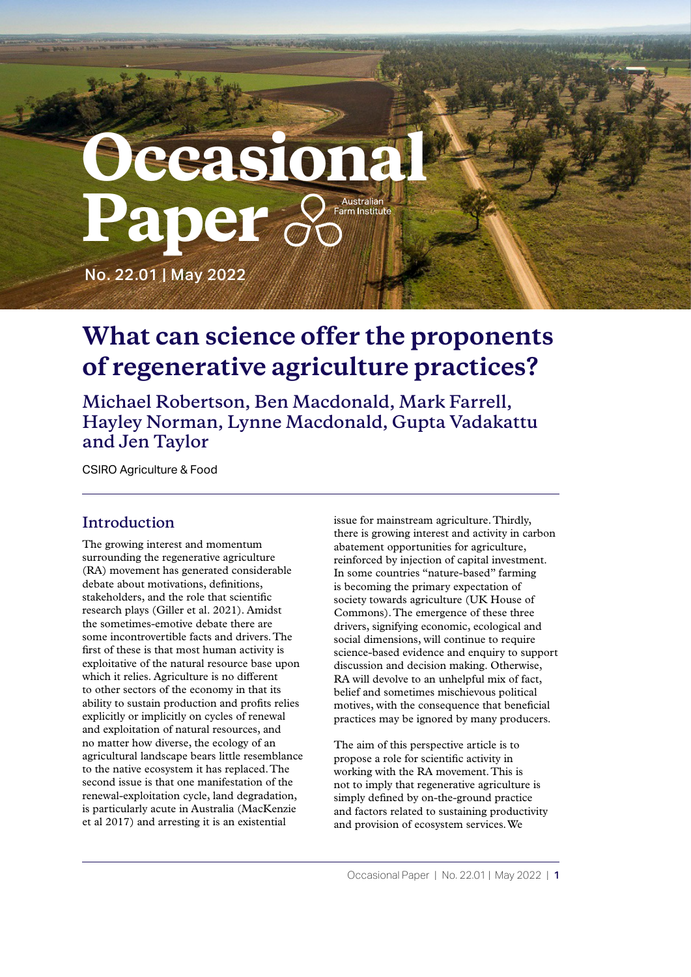# **Decasiona** Australian Paper **Farm Institute**

No. 22.01 | May 2022

# **What can science offer the proponents of regenerative agriculture practices?**

**Michael Robertson, Ben Macdonald, Mark Farrell, Hayley Norman, Lynne Macdonald, Gupta Vadakattu and Jen Taylor**

CSIRO Agriculture & Food

## **Introduction**

The growing interest and momentum surrounding the regenerative agriculture (RA) movement has generated considerable debate about motivations, definitions, stakeholders, and the role that scientific research plays (Giller et al. 2021). Amidst the sometimes-emotive debate there are some incontrovertible facts and drivers. The first of these is that most human activity is exploitative of the natural resource base upon which it relies. Agriculture is no different to other sectors of the economy in that its ability to sustain production and profits relies explicitly or implicitly on cycles of renewal and exploitation of natural resources, and no matter how diverse, the ecology of an agricultural landscape bears little resemblance to the native ecosystem it has replaced. The second issue is that one manifestation of the renewal-exploitation cycle, land degradation, is particularly acute in Australia (MacKenzie et al 2017) and arresting it is an existential

issue for mainstream agriculture. Thirdly, there is growing interest and activity in carbon abatement opportunities for agriculture, reinforced by injection of capital investment. In some countries "nature-based" farming is becoming the primary expectation of society towards agriculture (UK House of Commons). The emergence of these three drivers, signifying economic, ecological and social dimensions, will continue to require science-based evidence and enquiry to support discussion and decision making. Otherwise, RA will devolve to an unhelpful mix of fact, belief and sometimes mischievous political motives, with the consequence that beneficial practices may be ignored by many producers.

The aim of this perspective article is to propose a role for scientific activity in working with the RA movement. This is not to imply that regenerative agriculture is simply defined by on-the-ground practice and factors related to sustaining productivity and provision of ecosystem services. We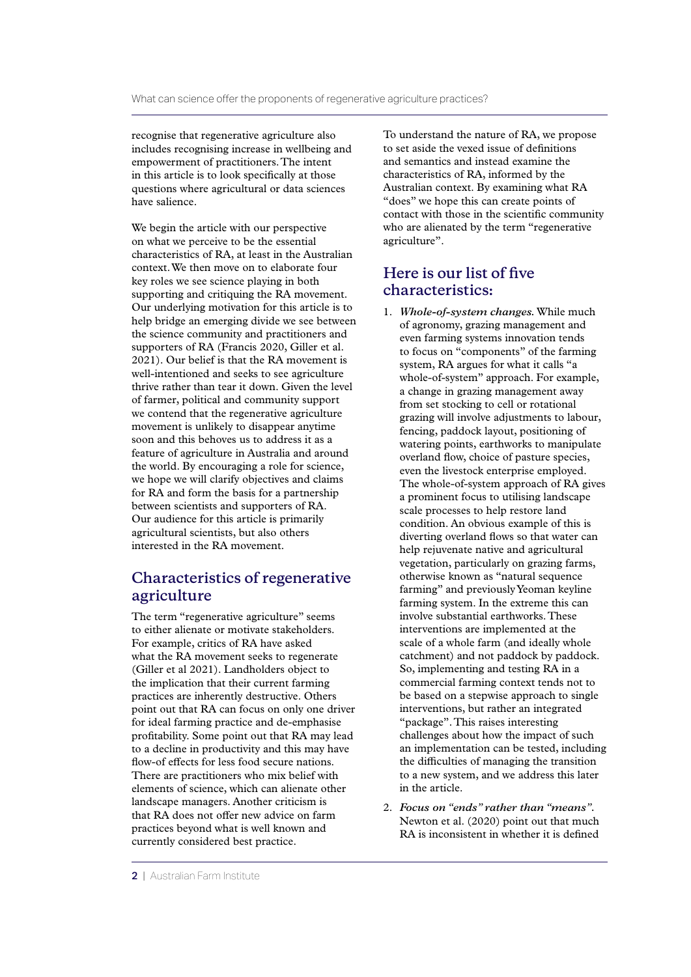recognise that regenerative agriculture also includes recognising increase in wellbeing and empowerment of practitioners. The intent in this article is to look specifically at those questions where agricultural or data sciences have salience.

We begin the article with our perspective on what we perceive to be the essential characteristics of RA, at least in the Australian context. We then move on to elaborate four key roles we see science playing in both supporting and critiquing the RA movement. Our underlying motivation for this article is to help bridge an emerging divide we see between the science community and practitioners and supporters of RA (Francis 2020, Giller et al. 2021). Our belief is that the RA movement is well-intentioned and seeks to see agriculture thrive rather than tear it down. Given the level of farmer, political and community support we contend that the regenerative agriculture movement is unlikely to disappear anytime soon and this behoves us to address it as a feature of agriculture in Australia and around the world. By encouraging a role for science, we hope we will clarify objectives and claims for RA and form the basis for a partnership between scientists and supporters of RA. Our audience for this article is primarily agricultural scientists, but also others interested in the RA movement.

#### **Characteristics of regenerative agriculture**

The term "regenerative agriculture" seems to either alienate or motivate stakeholders. For example, critics of RA have asked what the RA movement seeks to regenerate (Giller et al 2021). Landholders object to the implication that their current farming practices are inherently destructive. Others point out that RA can focus on only one driver for ideal farming practice and de-emphasise profitability. Some point out that RA may lead to a decline in productivity and this may have flow-of effects for less food secure nations. There are practitioners who mix belief with elements of science, which can alienate other landscape managers. Another criticism is that RA does not offer new advice on farm practices beyond what is well known and currently considered best practice.

To understand the nature of RA, we propose to set aside the vexed issue of definitions and semantics and instead examine the characteristics of RA, informed by the Australian context. By examining what RA "does" we hope this can create points of contact with those in the scientific community who are alienated by the term "regenerative agriculture".

### **Here is our list of five characteristics:**

- 1. *Whole-of-system changes.* While much of agronomy, grazing management and even farming systems innovation tends to focus on "components" of the farming system, RA argues for what it calls "a whole-of-system" approach. For example, a change in grazing management away from set stocking to cell or rotational grazing will involve adjustments to labour, fencing, paddock layout, positioning of watering points, earthworks to manipulate overland flow, choice of pasture species, even the livestock enterprise employed. The whole-of-system approach of RA gives a prominent focus to utilising landscape scale processes to help restore land condition. An obvious example of this is diverting overland flows so that water can help rejuvenate native and agricultural vegetation, particularly on grazing farms, otherwise known as "natural sequence farming" and previously Yeoman keyline farming system. In the extreme this can involve substantial earthworks. These interventions are implemented at the scale of a whole farm (and ideally whole catchment) and not paddock by paddock. So, implementing and testing RA in a commercial farming context tends not to be based on a stepwise approach to single interventions, but rather an integrated "package". This raises interesting challenges about how the impact of such an implementation can be tested, including the difficulties of managing the transition to a new system, and we address this later in the article.
- 2. *Focus on "ends" rather than "means".*  Newton et al. (2020) point out that much RA is inconsistent in whether it is defined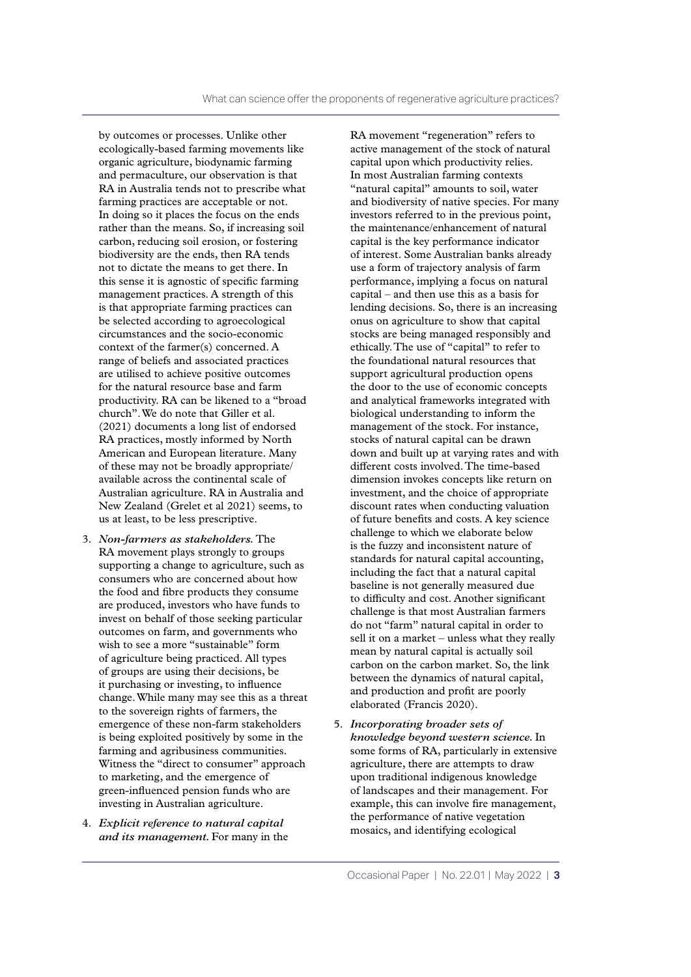by outcomes or processes. Unlike other ecologically-based farming movements like organic agriculture, biodynamic farming and permaculture, our observation is that RA in Australia tends not to prescribe what farming practices are acceptable or not. In doing so it places the focus on the ends rather than the means. So, if increasing soil carbon, reducing soil erosion, or fostering biodiversity are the ends, then RA tends not to dictate the means to get there. In this sense it is agnostic of specific farming management practices. A strength of this is that appropriate farming practices can be selected according to agroecological circumstances and the socio-economic context of the farmer(s) concerned. A range of beliefs and associated practices are utilised to achieve positive outcomes for the natural resource base and farm productivity. RA can be likened to a "broad church". We do note that Giller et al. (2021) documents a long list of endorsed RA practices, mostly informed by North American and European literature. Many of these may not be broadly appropriate/ available across the continental scale of Australian agriculture. RA in Australia and New Zealand (Grelet et al 2021) seems, to us at least, to be less prescriptive.

- 3. *Non-farmers as stakeholders.* The RA movement plays strongly to groups supporting a change to agriculture, such as consumers who are concerned about how the food and fibre products they consume are produced, investors who have funds to invest on behalf of those seeking particular outcomes on farm, and governments who wish to see a more "sustainable" form of agriculture being practiced. All types of groups are using their decisions, be it purchasing or investing, to influence change. While many may see this as a threat to the sovereign rights of farmers, the emergence of these non-farm stakeholders is being exploited positively by some in the farming and agribusiness communities. Witness the "direct to consumer" approach to marketing, and the emergence of green-influenced pension funds who are investing in Australian agriculture.
- 4. *Explicit reference to natural capital and its management.* For many in the

RA movement "regeneration" refers to active management of the stock of natural capital upon which productivity relies. In most Australian farming contexts "natural capital" amounts to soil, water and biodiversity of native species. For many investors referred to in the previous point, the maintenance/enhancement of natural capital is the key performance indicator of interest. Some Australian banks already use a form of trajectory analysis of farm performance, implying a focus on natural capital – and then use this as a basis for lending decisions. So, there is an increasing onus on agriculture to show that capital stocks are being managed responsibly and ethically. The use of "capital" to refer to the foundational natural resources that support agricultural production opens the door to the use of economic concepts and analytical frameworks integrated with biological understanding to inform the management of the stock. For instance, stocks of natural capital can be drawn down and built up at varying rates and with different costs involved. The time-based dimension invokes concepts like return on investment, and the choice of appropriate discount rates when conducting valuation of future benefits and costs. A key science challenge to which we elaborate below is the fuzzy and inconsistent nature of standards for natural capital accounting, including the fact that a natural capital baseline is not generally measured due to difficulty and cost. Another significant challenge is that most Australian farmers do not "farm" natural capital in order to sell it on a market – unless what they really mean by natural capital is actually soil carbon on the carbon market. So, the link between the dynamics of natural capital, and production and profit are poorly elaborated (Francis 2020).

5. *Incorporating broader sets of knowledge beyond western science.* In some forms of RA, particularly in extensive agriculture, there are attempts to draw upon traditional indigenous knowledge of landscapes and their management. For example, this can involve fire management, the performance of native vegetation mosaics, and identifying ecological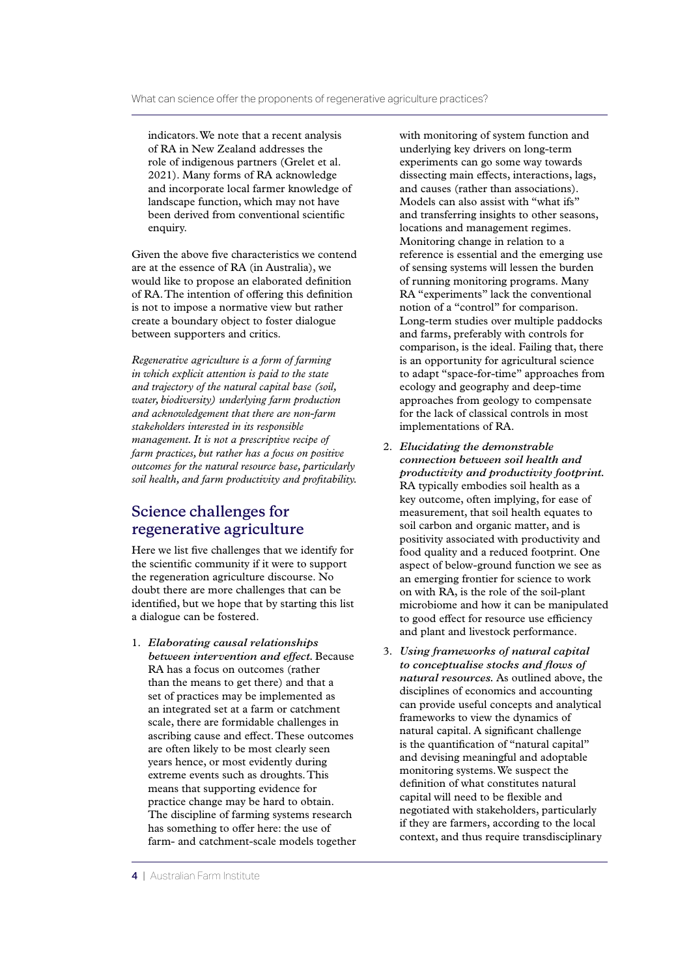indicators. We note that a recent analysis of RA in New Zealand addresses the role of indigenous partners (Grelet et al. 2021). Many forms of RA acknowledge and incorporate local farmer knowledge of landscape function, which may not have been derived from conventional scientific enquiry.

Given the above five characteristics we contend are at the essence of RA (in Australia), we would like to propose an elaborated definition of RA. The intention of offering this definition is not to impose a normative view but rather create a boundary object to foster dialogue between supporters and critics.

*Regenerative agriculture is a form of farming in which explicit attention is paid to the state and trajectory of the natural capital base (soil, water, biodiversity) underlying farm production and acknowledgement that there are non-farm stakeholders interested in its responsible management. It is not a prescriptive recipe of farm practices, but rather has a focus on positive outcomes for the natural resource base, particularly soil health, and farm productivity and profitability.*

#### **Science challenges for regenerative agriculture**

Here we list five challenges that we identify for the scientific community if it were to support the regeneration agriculture discourse. No doubt there are more challenges that can be identified, but we hope that by starting this list a dialogue can be fostered.

1. *Elaborating causal relationships between intervention and effect.* Because RA has a focus on outcomes (rather than the means to get there) and that a set of practices may be implemented as an integrated set at a farm or catchment scale, there are formidable challenges in ascribing cause and effect. These outcomes are often likely to be most clearly seen years hence, or most evidently during extreme events such as droughts. This means that supporting evidence for practice change may be hard to obtain. The discipline of farming systems research has something to offer here: the use of farm- and catchment-scale models together with monitoring of system function and underlying key drivers on long-term experiments can go some way towards dissecting main effects, interactions, lags, and causes (rather than associations). Models can also assist with "what ifs" and transferring insights to other seasons, locations and management regimes. Monitoring change in relation to a reference is essential and the emerging use of sensing systems will lessen the burden of running monitoring programs. Many RA "experiments" lack the conventional notion of a "control" for comparison. Long-term studies over multiple paddocks and farms, preferably with controls for comparison, is the ideal. Failing that, there is an opportunity for agricultural science to adapt "space-for-time" approaches from ecology and geography and deep-time approaches from geology to compensate for the lack of classical controls in most implementations of RA.

- 2. *Elucidating the demonstrable connection between soil health and productivity and productivity footprint.*  RA typically embodies soil health as a key outcome, often implying, for ease of measurement, that soil health equates to soil carbon and organic matter, and is positivity associated with productivity and food quality and a reduced footprint. One aspect of below-ground function we see as an emerging frontier for science to work on with RA, is the role of the soil-plant microbiome and how it can be manipulated to good effect for resource use efficiency and plant and livestock performance.
- 3. *Using frameworks of natural capital to conceptualise stocks and flows of natural resources.* As outlined above, the disciplines of economics and accounting can provide useful concepts and analytical frameworks to view the dynamics of natural capital. A significant challenge is the quantification of "natural capital" and devising meaningful and adoptable monitoring systems. We suspect the definition of what constitutes natural capital will need to be flexible and negotiated with stakeholders, particularly if they are farmers, according to the local context, and thus require transdisciplinary

<sup>4 |</sup> Australian Farm Institute